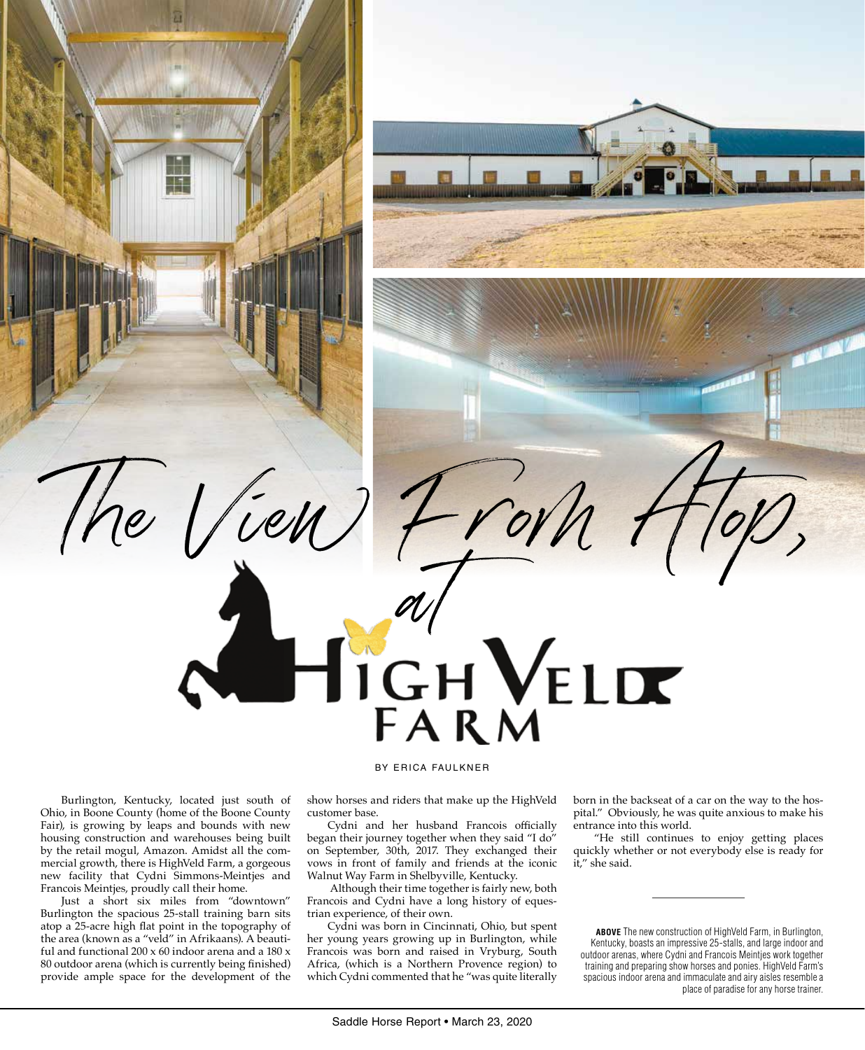

 $The$   $|/ieu$ )  $2\gamma$ 

Cydni and her husband Francois officially began their journey together when they said "I do" on September, 30th, 2017. They exchanged their vows in front of family and friends at the iconic Walnut Way Farm in Shelbyville, Kentucky.

IGH VELDE

 Although their time together is fairly new, both Francois and Cydni have a long history of equestrian experience, of their own.

Cydni was born in Cincinnati, Ohio, but spent her young years growing up in Burlington, while Francois was born and raised in Vryburg, South Africa, (which is a Northern Provence region) to which Cydni commented that he "was quite literally

born in the backseat of a car on the way to the hospital." Obviously, he was quite anxious to make his entrance into this world.

"He still continues to enjoy getting places quickly whether or not everybody else is ready for it," she said.

**ABOVE** The new construction of HighVeld Farm, in Burlington, Kentucky, boasts an impressive 25-stalls, and large indoor and outdoor arenas, where Cydni and Francois Meintjes work together training and preparing show horses and ponies. HighVeld Farm's spacious indoor arena and immaculate and airy aisles resemble a place of paradise for any horse trainer.

Burlington, Kentucky, located just south of Ohio, in Boone County (home of the Boone County Fair), is growing by leaps and bounds with new housing construction and warehouses being built by the retail mogul, Amazon. Amidst all the commercial growth, there is HighVeld Farm, a gorgeous new facility that Cydni Simmons-Meintjes and Francois Meintjes, proudly call their home.

Just a short six miles from "downtown" Burlington the spacious 25-stall training barn sits atop a 25-acre high flat point in the topography of the area (known as a "veld" in Afrikaans). A beautiful and functional  $200 \times 60$  indoor arena and a  $180 \times$ 80 outdoor arena (which is currently being finished) provide ample space for the development of the

## Saddle Horse Report • March 23, 2020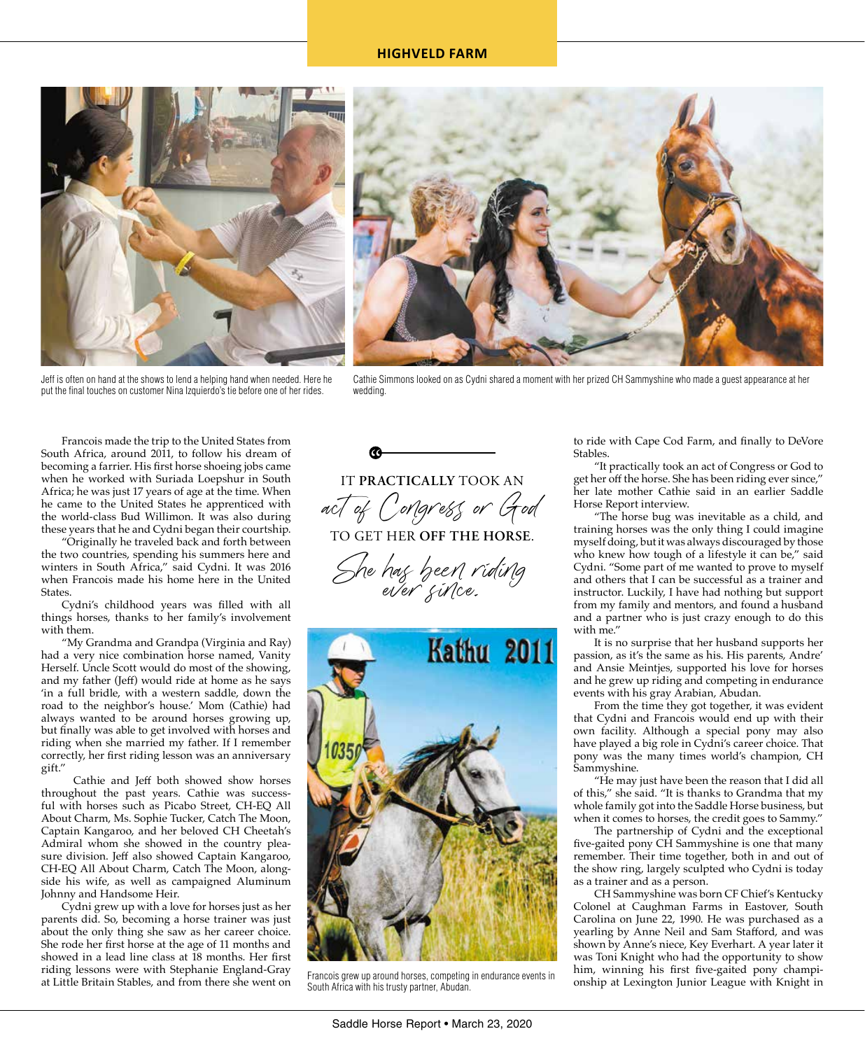## **HIGHVELD FARM**





Jeff is often on hand at the shows to lend a helping hand when needed. Here he put the final touches on customer Nina Izquierdo's tie before one of her rides.

Cathie Simmons looked on as Cydni shared a moment with her prized CH Sammyshine who made a guest appearance at her wedding.

Francois made the trip to the United States from South Africa, around 2011, to follow his dream of becoming a farrier. His first horse shoeing jobs came when he worked with Suriada Loepshur in South Africa; he was just 17 years of age at the time. When he came to the United States he apprenticed with the world-class Bud Willimon. It was also during these years that he and Cydni began their courtship.

"Originally he traveled back and forth between the two countries, spending his summers here and winters in South Africa," said Cydni. It was 2016 when Francois made his home here in the United **States** 

Cydni's childhood years was filled with all things horses, thanks to her family's involvement with them.

"My Grandma and Grandpa (Virginia and Ray) had a very nice combination horse named, Vanity Herself. Uncle Scott would do most of the showing, and my father (Jeff) would ride at home as he says 'in a full bridle, with a western saddle, down the road to the neighbor's house.' Mom (Cathie) had always wanted to be around horses growing up, but finally was able to get involved with horses and riding when she married my father. If I remember correctly, her first riding lesson was an anniversary gift."

 Cathie and Jeff both showed show horses throughout the past years. Cathie was successful with horses such as Picabo Street, CH-EQ All About Charm, Ms. Sophie Tucker, Catch The Moon, Captain Kangaroo, and her beloved CH Cheetah's Admiral whom she showed in the country pleasure division. Jeff also showed Captain Kangaroo, CH-EQ All About Charm, Catch The Moon, alongside his wife, as well as campaigned Aluminum Johnny and Handsome Heir.

Cydni grew up with a love for horses just as her parents did. So, becoming a horse trainer was just about the only thing she saw as her career choice. She rode her first horse at the age of 11 months and showed in a lead line class at 18 months. Her first riding lessons were with Stephanie England-Gray at Little Britain Stables, and from there she went on IT **PRACTICALLY** TOOK AN

act of Congress or God TO GET HER **OFF THE HORSE**.

She hag been riding<br>ever gince.



South Africa with his trusty partner, Abudan.

to ride with Cape Cod Farm, and finally to DeVore Stables.

"It practically took an act of Congress or God to get her off the horse. She has been riding ever since," her late mother Cathie said in an earlier Saddle Horse Report interview.

"The horse bug was inevitable as a child, and training horses was the only thing I could imagine myself doing, but it was always discouraged by those who knew how tough of a lifestyle it can be," said Cydni. "Some part of me wanted to prove to myself and others that I can be successful as a trainer and instructor. Luckily, I have had nothing but support from my family and mentors, and found a husband and a partner who is just crazy enough to do this with me."

It is no surprise that her husband supports her passion, as it's the same as his. His parents, Andre' and Ansie Meintjes, supported his love for horses and he grew up riding and competing in endurance events with his gray Arabian, Abudan.

From the time they got together, it was evident that Cydni and Francois would end up with their own facility. Although a special pony may also have played a big role in Cydni's career choice. That pony was the many times world's champion, CH Sammyshine.

"He may just have been the reason that I did all of this," she said. "It is thanks to Grandma that my whole family got into the Saddle Horse business, but when it comes to horses, the credit goes to Sammy."

The partnership of Cydni and the exceptional five-gaited pony CH Sammyshine is one that many remember. Their time together, both in and out of the show ring, largely sculpted who Cydni is today as a trainer and as a person.

CH Sammyshine was born CF Chief's Kentucky Colonel at Caughman Farms in Eastover, South Carolina on June 22, 1990. He was purchased as a yearling by Anne Neil and Sam Stafford, and was shown by Anne's niece, Key Everhart. A year later it was Toni Knight who had the opportunity to show him, winning his first five-gaited pony champi-Francois grew up around horses, competing in endurance events in Francois and Tunismus Hist Hive-garied ponty Champi-<br>South Africa with his trusty partner. Abudan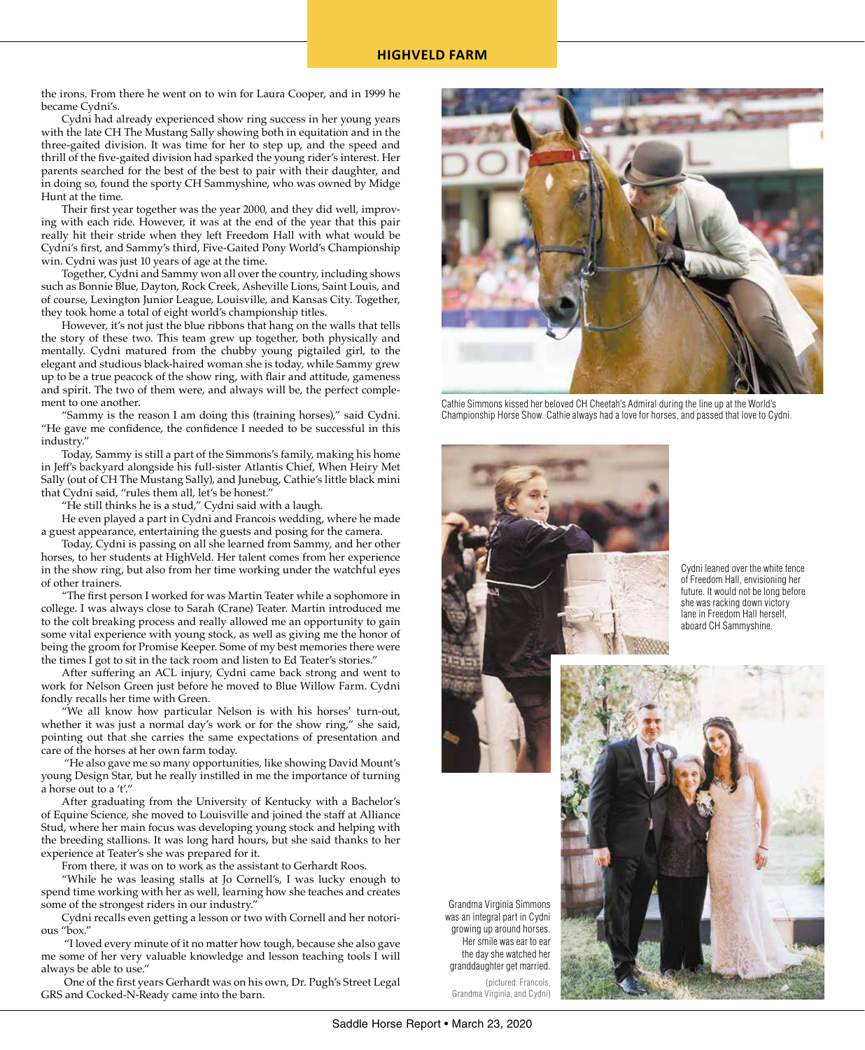the irons. From there he went on to win for Laura Cooper, and in 1999 he became Cydni's.

Cydni had already experienced show ring success in her young years with the late CH The Mustang Sally showing both in equitation and in the three-gaited division. It was time for her to step up, and the speed and thrill of the five-gaited division had sparked the young rider's interest. Her parents searched for the best of the best to pair with their daughter, and in doing so, found the sporty CH Sammyshine, who was owned by Midge Hunt at the time.

Their first year together was the year 2000, and they did well, improving with each ride. However, it was at the end of the year that this pair really hit their stride when they left Freedom Hall with what would be Cydni's first, and Sammy's third, Five-Gaited Pony World's Championship win. Cydni was just 10 years of age at the time.

Together, Cydni and Sammy won all over the country, including shows such as Bonnie Blue, Dayton, Rock Creek, Asheville Lions, Saint Louis, and of course, Lexington Junior League, Louisville, and Kansas City. Together, they took home a total of eight world's championship titles.

However, it's not just the blue ribbons that hang on the walls that tells the story of these two. This team grew up together, both physically and mentally. Cydni matured from the chubby young pigtailed girl, to the elegant and studious black-haired woman she is today, while Sammy grew up to be a true peacock of the show ring, with flair and attitude, gameness and spirit. The two of them were, and always will be, the perfect complement to one another.

"Sammy is the reason I am doing this (training horses)," said Cydni. "He gave me confidence, the confidence I needed to be successful in this industry."

Today, Sammy is still a part of the Simmons's family, making his home in Jeff's backyard alongside his full-sister Atlantis Chief, When Heiry Met Sally (out of CH The Mustang Sally), and Junebug, Cathie's little black mini that Cydni said, "rules them all, let's be honest."

"He still thinks he is a stud," Cydni said with a laugh.

He even played a part in Cydni and Francois wedding, where he made a guest appearance, entertaining the guests and posing for the camera.

Today, Cydni is passing on all she learned from Sammy, and her other horses, to her students at HighVeld. Her talent comes from her experience in the show ring, but also from her time working under the watchful eyes of other trainers.

"The first person I worked for was Martin Teater while a sophomore in college. I was always close to Sarah (Crane) Teater. Martin introduced me to the colt breaking process and really allowed me an opportunity to gain some vital experience with young stock, as well as giving me the honor of being the groom for Promise Keeper. Some of my best memories there were the times I got to sit in the tack room and listen to Ed Teater's stories."

After suffering an ACL injury, Cydni came back strong and went to work for Nelson Green just before he moved to Blue Willow Farm. Cydni fondly recalls her time with Green.

"We all know how particular Nelson is with his horses' turn-out, whether it was just a normal day's work or for the show ring," she said, pointing out that she carries the same expectations of presentation and care of the horses at her own farm today.

 "He also gave me so many opportunities, like showing David Mount's young Design Star, but he really instilled in me the importance of turning a horse out to a 't'."

After graduating from the University of Kentucky with a Bachelor's of Equine Science, she moved to Louisville and joined the staff at Alliance Stud, where her main focus was developing young stock and helping with the breeding stallions. It was long hard hours, but she said thanks to her experience at Teater's she was prepared for it.

From there, it was on to work as the assistant to Gerhardt Roos.

"While he was leasing stalls at Jo Cornell's, I was lucky enough to spend time working with her as well, learning how she teaches and creates some of the strongest riders in our industry."

Cydni recalls even getting a lesson or two with Cornell and her notorious "box."

 "I loved every minute of it no matter how tough, because she also gave me some of her very valuable knowledge and lesson teaching tools I will always be able to use."

 One of the first years Gerhardt was on his own, Dr. Pugh's Street Legal GRS and Cocked-N-Ready came into the barn.



Cathie Simmons kissed her beloved CH Cheetah's Admiral during the line up at the World's Championship Horse Show. Cathie always had a love for horses, and passed that love to Cydni.



Cydni leaned over the white fence of Freedom Hall, envisioning her future. It would not be long before she was racking down victory lane in Freedom Hall herself, aboard CH Sammyshine.



Grandma Virginia Simmons was an integral part in Cydni growing up around horses. Her smile was ear to ear the day she watched her granddaughter get married. (pictured: Francois,

Grandma Virginia, and Cydni)